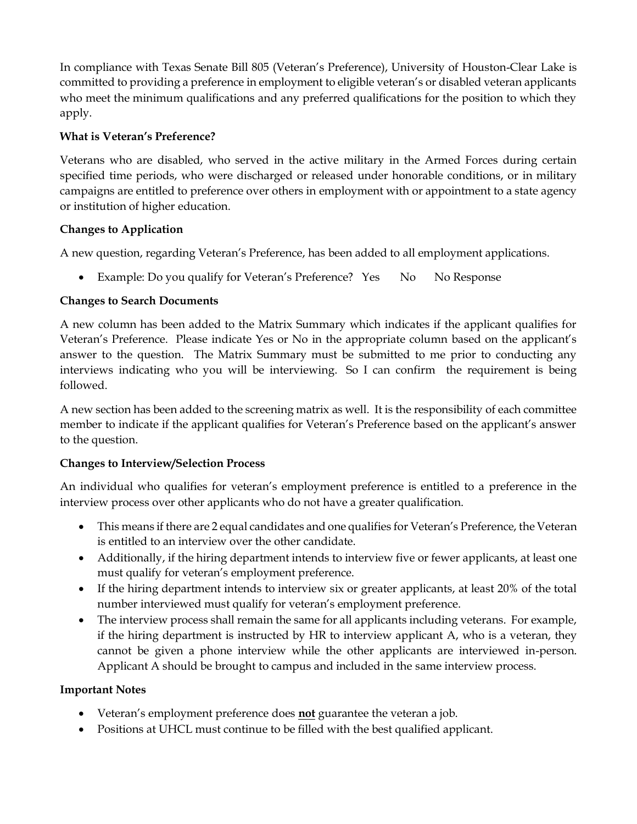In compliance with Texas Senate Bill 805 (Veteran's Preference), University of Houston-Clear Lake is committed to providing a preference in employment to eligible veteran's or disabled veteran applicants who meet the minimum qualifications and any preferred qualifications for the position to which they apply.

## **What is Veteran's Preference?**

Veterans who are disabled, who served in the active military in the Armed Forces during certain specified time periods, who were discharged or released under honorable conditions, or in military campaigns are entitled to preference over others in employment with or appointment to a state agency or institution of higher education.

## **Changes to Application**

A new question, regarding Veteran's Preference, has been added to all employment applications.

• Example: Do you qualify for Veteran's Preference? Yes No No Response

# **Changes to Search Documents**

A new column has been added to the Matrix Summary which indicates if the applicant qualifies for Veteran's Preference. Please indicate Yes or No in the appropriate column based on the applicant's answer to the question. The Matrix Summary must be submitted to me prior to conducting any interviews indicating who you will be interviewing. So I can confirm the requirement is being followed.

A new section has been added to the screening matrix as well. It is the responsibility of each committee member to indicate if the applicant qualifies for Veteran's Preference based on the applicant's answer to the question.

# **Changes to Interview/Selection Process**

An individual who qualifies for veteran's employment preference is entitled to a preference in the interview process over other applicants who do not have a greater qualification.

- This means if there are 2 equal candidates and one qualifies for Veteran's Preference, the Veteran is entitled to an interview over the other candidate.
- Additionally, if the hiring department intends to interview five or fewer applicants, at least one must qualify for veteran's employment preference.
- If the hiring department intends to interview six or greater applicants, at least 20% of the total number interviewed must qualify for veteran's employment preference.
- The interview process shall remain the same for all applicants including veterans. For example, if the hiring department is instructed by HR to interview applicant A, who is a veteran, they cannot be given a phone interview while the other applicants are interviewed in-person. Applicant A should be brought to campus and included in the same interview process.

# **Important Notes**

- Veteran's employment preference does **not** guarantee the veteran a job.
- Positions at UHCL must continue to be filled with the best qualified applicant.